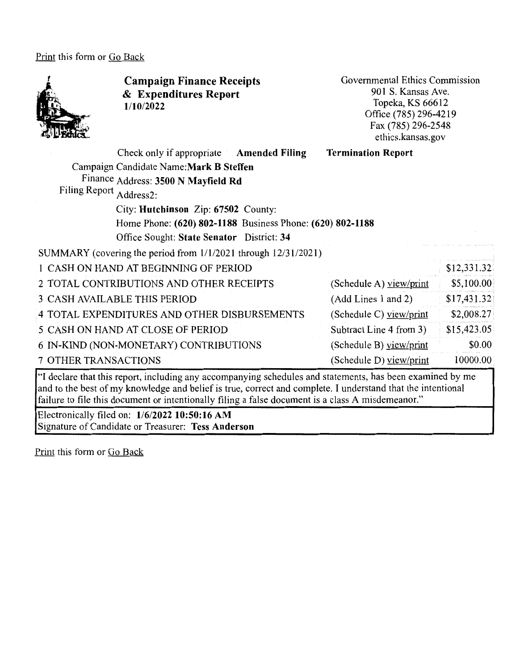Print this form or Go Back



**Campaign Finance Receipts**  & **Expenditures Report 1/10/2022** 

Governmental Ethics Commission 901 S. Kansas Ave. Topeka, KS 66612 Office (785) 296-4219 Fax (785) 296-2548 ethics.kansas.gov

| Check only if appropriate Amended Filing                       |  | <b>Termination Report</b> |             |
|----------------------------------------------------------------|--|---------------------------|-------------|
| Campaign Candidate Name: Mark B Steffen                        |  |                           |             |
| Finance Address: 3500 N Mayfield Rd                            |  |                           |             |
| Filing Report Address2:                                        |  |                           |             |
| City: Hutchinson Zip: 67502 County:                            |  |                           |             |
| Home Phone: (620) 802-1188 Business Phone: (620) 802-1188      |  |                           |             |
| Office Sought: State Senator District: 34                      |  |                           |             |
| SUMMARY (covering the period from 1/1/2021 through 12/31/2021) |  |                           |             |
| 1 CASH ON HAND AT BEGINNING OF PERIOD                          |  |                           | \$12,331.32 |
| 2 TOTAL CONTRIBUTIONS AND OTHER RECEIPTS                       |  | (Schedule A) view/print   | \$5,100.00  |
| 3 CASH AVAILABLE THIS PERIOD<br>(Add Lines 1 and 2)            |  |                           | \$17,431.32 |
| 4 TOTAL EXPENDITURES AND OTHER DISBURSEMENTS                   |  | (Schedule C) view/print   | \$2,008.27  |
| 5 CASH ON HAND AT CLOSE OF PERIOD                              |  | Subtract Line 4 from 3)   | \$15,423.05 |
| 6 IN-KIND (NON-MONETARY) CONTRIBUTIONS                         |  | (Schedule B) view/print   | \$0.00\$    |
| 7 OTHER TRANSACTIONS                                           |  | (Schedule D) view/print   | 10000.00    |

"I declare that this report, including any accompanying schedules and statements, has been examined by me and to the best of my knowledge and belief is true, correct and complete. I understand that the intentional failure to file this document or intentionally filing a false document is a class A misdemeanor."

Electronically filed on: **1/6/2022 10:50:16 AM**  Signature of Candidate or Treasurer: **Tess Anderson**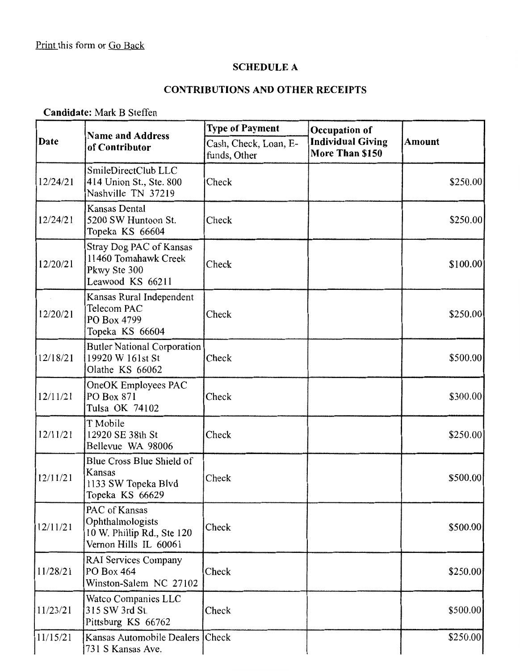## **SCHEDULE A**

# **CONTRIBUTIONS AND OTHER RECEIPTS**

### **Candidate:** Mark B Steffen

| Date     | <b>Name and Address</b>                                                                  | <b>Type of Payment</b><br>Occupation of |                                             |               |
|----------|------------------------------------------------------------------------------------------|-----------------------------------------|---------------------------------------------|---------------|
|          | of Contributor                                                                           | Cash, Check, Loan, E-<br>funds, Other   | <b>Individual Giving</b><br>More Than \$150 | <b>Amount</b> |
| 12/24/21 | SmileDirectClub LLC<br>414 Union St., Ste. 800<br>Nashville TN 37219                     | Check                                   |                                             | \$250.00      |
| 12/24/21 | Kansas Dental<br>5200 SW Huntoon St.<br>Topeka KS 66604                                  | Check                                   |                                             | \$250.00      |
| 12/20/21 | Stray Dog PAC of Kansas<br>11460 Tomahawk Creek<br>Pkwy Ste 300<br>Leawood KS 66211      | Check                                   |                                             | \$100.00]     |
| 12/20/21 | Kansas Rural Independent<br>Telecom PAC<br>PO Box 4799<br>Topeka KS 66604                | Check                                   |                                             | \$250.00      |
| 12/18/21 | <b>Butler National Corporation</b><br>19920 W 161st St<br>Olathe KS 66062                | Check                                   |                                             | \$500.00      |
| 12/11/21 | OneOK Employees PAC<br>PO Box 871<br>Tulsa OK 74102                                      | Check                                   |                                             | \$300.00      |
| 12/11/21 | T Mobile<br>12920 SE 38th St<br>Bellevue WA 98006                                        | Check                                   |                                             | \$250.00]     |
| 12/11/21 | Blue Cross Blue Shield of<br>Kansas<br>1133 SW Topeka Blvd<br>Topeka KS 66629            | Check                                   |                                             | \$500.00      |
| 12/11/21 | PAC of Kansas<br>Ophthalmologists<br>10 W. Phillip Rd., Ste 120<br>Vernon Hills IL 60061 | Check                                   |                                             | \$500.00      |
| 11/28/21 | <b>RAI Services Company</b><br>PO Box 464<br>Winston-Salem NC 27102                      | Check                                   |                                             | \$250.00      |
| 11/23/21 | Watco Companies LLC<br>315 SW 3rd St.<br>Pittsburg KS 66762                              | Check                                   |                                             | \$500.00      |
| 11/15/21 | Kansas Automobile Dealers Check<br>731 S Kansas Ave.                                     |                                         |                                             | \$250.00      |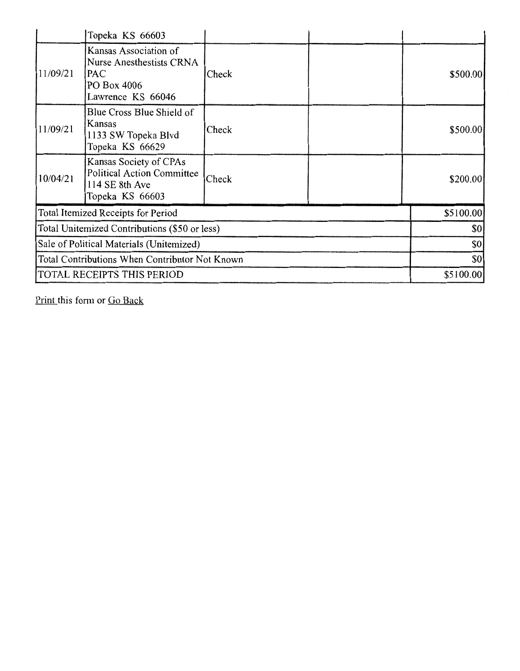|                                                | Topeka KS 66603                                                                                     |           |           |          |
|------------------------------------------------|-----------------------------------------------------------------------------------------------------|-----------|-----------|----------|
| 11/09/21                                       | Kansas Association of<br><b>Nurse Anesthestists CRNA</b><br>PAC<br>PO Box 4006<br>Lawrence KS 66046 | Check     |           | \$500.00 |
| 11/09/21                                       | Blue Cross Blue Shield of<br>Kansas<br>1133 SW Topeka Blvd<br>Topeka KS 66629                       | Check     |           | \$500.00 |
| 10/04/21                                       | Kansas Society of CPAs<br><b>Political Action Committee</b><br>114 SE 8th Ave<br>Topeka KS 66603    | Check     |           | \$200.00 |
| Total Itemized Receipts for Period             |                                                                                                     |           | \$5100.00 |          |
| Total Unitemized Contributions (\$50 or less)  |                                                                                                     | \$0       |           |          |
| Sale of Political Materials (Unitemized)       |                                                                                                     | \$0       |           |          |
| Total Contributions When Contributor Not Known |                                                                                                     | 30        |           |          |
| TOTAL RECEIPTS THIS PERIOD                     |                                                                                                     | \$5100.00 |           |          |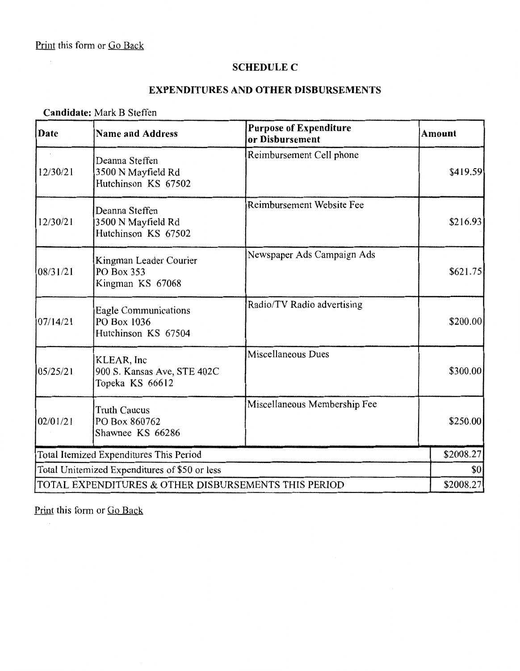#### **SCHEDULE C**

### **EXPENDITURES AND OTHER DISBURSEMENTS**

#### **Candidate:** Mark B Steffen

| Date                                                 | <b>Name and Address</b>                                      | <b>Purpose of Expenditure</b><br>or Disbursement | <b>Amount</b> |
|------------------------------------------------------|--------------------------------------------------------------|--------------------------------------------------|---------------|
| 12/30/21                                             | Deanna Steffen<br>3500 N Mayfield Rd<br>Hutchinson KS 67502  | Reimbursement Cell phone                         | \$419.59      |
| 12/30/21                                             | Deanna Steffen<br>3500 N Mayfield Rd<br>Hutchinson KS 67502  | Reimbursement Website Fee                        | \$216.93      |
| 08/31/21                                             | Kingman Leader Courier<br>PO Box 353<br>Kingman KS 67068     | Newspaper Ads Campaign Ads                       | \$621.75      |
| 07/14/21                                             | Eagle Communications<br>PO Box 1036<br>Hutchinson KS 67504   | Radio/TV Radio advertising                       | \$200.00      |
| 05/25/21                                             | KLEAR, Inc<br>900 S. Kansas Ave, STE 402C<br>Topeka KS 66612 | Miscellaneous Dues                               | \$300.00      |
| 02/01/21                                             | <b>Truth Caucus</b><br>PO Box 860762<br>Shawnee KS 66286     | Miscellaneous Membership Fee                     | \$250.00      |
| Total Itemized Expenditures This Period              |                                                              |                                                  | \$2008.27     |
| Total Unitemized Expenditures of \$50 or less        |                                                              |                                                  | \$0           |
| TOTAL EXPENDITURES & OTHER DISBURSEMENTS THIS PERIOD |                                                              |                                                  | \$2008.27     |